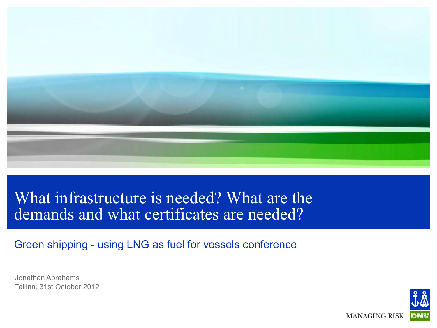

#### What infrastructure is needed? What are the demands and what certificates are needed?

Green shipping - using LNG as fuel for vessels conference

Jonathan Abrahams Tallinn, 31st October 2012

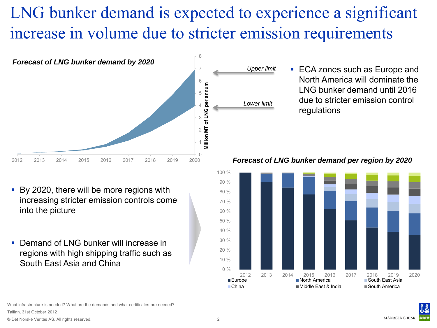# LNG bunker demand is expected to experience a significant increase in volume due to stricter emission requirements



■ ECA zones such as Europe and North America will dominate the LNG bunker demand until 2016 due to stricter emission control regulations

- By 2020, there will be more regions with increasing stricter emission controls come into the picture
- Demand of LNG bunker will increase in regions with high shipping traffic such as South East Asia and China

*Forecast of LNG bunker demand per region by 2020*



nfrastructure is needed? What are the demands and what certificates are needed? Tallinn, 31st October 2012

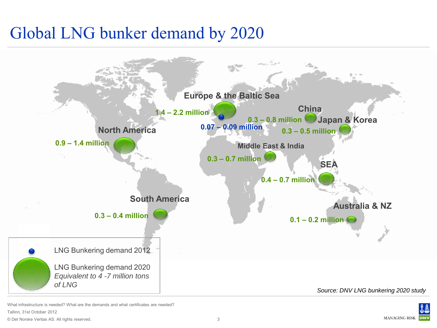#### Global LNG bunker demand by 2020



© Det Norske Veritas AS. All rights reserved. What infrastructure is needed? What are the demands and what certificates are needed? Tallinn, 31st October 2012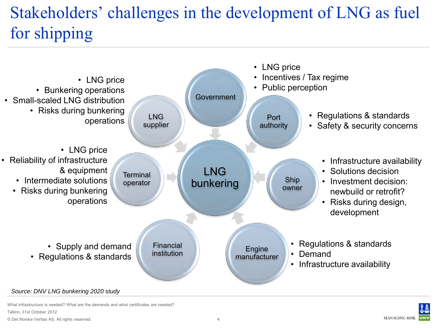# Stakeholders' challenges in the development of LNG as fuel for shipping



nfrastructure is needed? What are the demands and what certificates are needed? Tallinn, 31st October 2012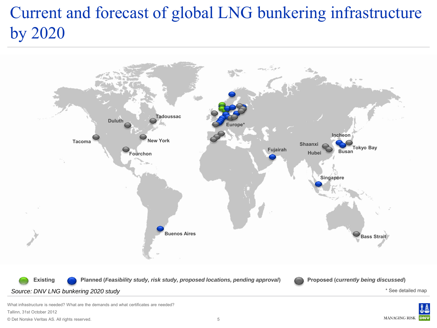#### Current and forecast of global LNG bunkering infrastructure by 2020



© Det Norske Veritas AS. All rights reserved. What infrastructure is needed? What are the demands and what certificates are needed? Tallinn, 31st October 2012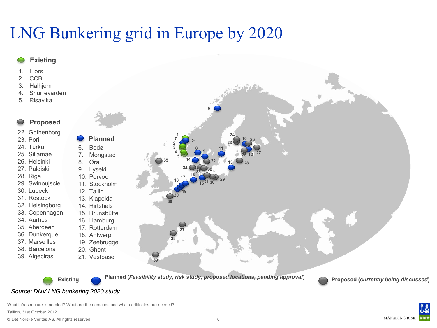#### LNG Bunkering grid in Europe by 2020



What infrastructure is needed? What are the demands and what certificates are needed? Tallinn, 31st October 2012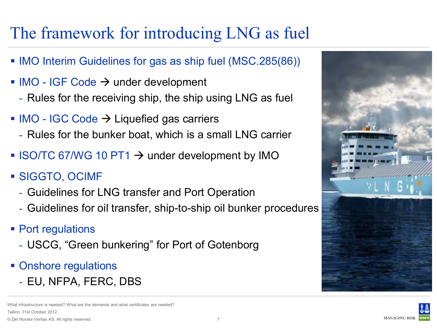## The framework for introducing LNG as fuel

- **IMO Interim Guidelines for gas as ship fuel (MSC.285(86))**
- $\blacksquare$  IMO IGF Code  $\rightarrow$  under development
	- Rules for the receiving ship, the ship using LNG as fuel
- $\blacksquare$  IMO IGC Code  $\rightarrow$  Liquefied gas carriers
	- Rules for the bunker boat, which is a small LNG carrier
- $\blacksquare$  ISO/TC 67/WG 10 PT1  $\rightarrow$  under development by IMO
- SIGGTO, OCIMF
	- Guidelines for LNG transfer and Port Operation
	- Guidelines for oil transfer, ship-to-ship oil bunker procedures
- Port regulations
	- USCG, "Green bunkering" for Port of Gotenborg
- Onshore regulations
	- EU, NFPA, FERC, DBS

© Det Norske Veritas AS. All rights reserved. ifrastructure is needed? What are the demands and what certificates are needed? Tallinn, 31st October 2012



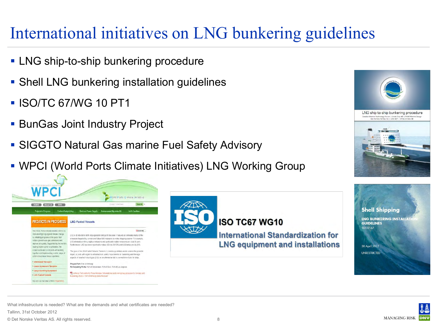#### International initiatives on LNG bunkering guidelines

- **LNG ship-to-ship bunkering procedure**
- **Shell LNG bunkering installation guidelines**
- **ISO/TC 67/WG 10 PT1**
- **BunGas Joint Industry Project**
- SIGGTO Natural Gas marine Fuel Safety Advisory
- WPCI (World Ports Climate Initiatives) LNG Working Group







30 April 2012

**UNRESTRICTED** 

**MANAGING RISK** 

What infrastructure is needed? What are the demands and what certificates are needed? Tallinn, 31st October 2012